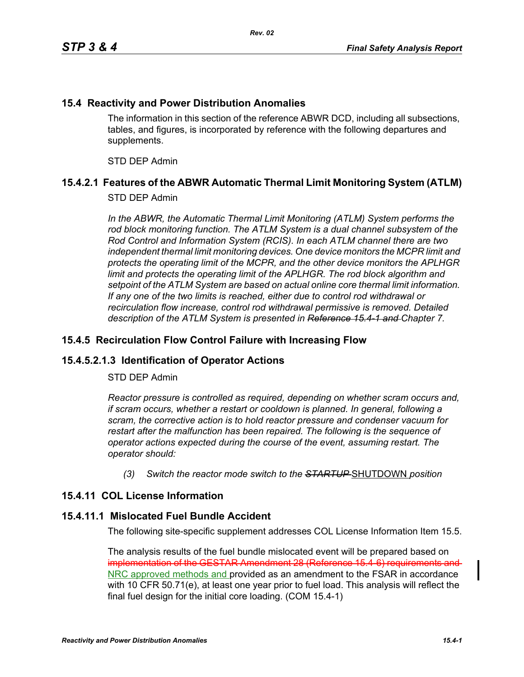### **15.4 Reactivity and Power Distribution Anomalies**

The information in this section of the reference ABWR DCD, including all subsections, tables, and figures, is incorporated by reference with the following departures and supplements.

STD DEP Admin

# **15.4.2.1 Features of the ABWR Automatic Thermal Limit Monitoring System (ATLM)**

### STD DEP Admin

In the ABWR, the Automatic Thermal Limit Monitoring (ATLM) System performs the *rod block monitoring function. The ATLM System is a dual channel subsystem of the Rod Control and Information System (RCIS). In each ATLM channel there are two independent thermal limit monitoring devices. One device monitors the MCPR limit and protects the operating limit of the MCPR, and the other device monitors the APLHGR*  limit and protects the operating limit of the APLHGR. The rod block algorithm and *setpoint of the ATLM System are based on actual online core thermal limit information. If any one of the two limits is reached, either due to control rod withdrawal or recirculation flow increase, control rod withdrawal permissive is removed. Detailed description of the ATLM System is presented in Reference 15.4-1 and Chapter 7.*

### **15.4.5 Recirculation Flow Control Failure with Increasing Flow**

### **15.4.5.2.1.3 Identification of Operator Actions**

#### STD DEP Admin

*Reactor pressure is controlled as required, depending on whether scram occurs and, if scram occurs, whether a restart or cooldown is planned. In general, following a scram, the corrective action is to hold reactor pressure and condenser vacuum for restart after the malfunction has been repaired. The following is the sequence of operator actions expected during the course of the event, assuming restart. The operator should:*

*(3) Switch the reactor mode switch to the STARTUP* SHUTDOWN *position*

### **15.4.11 COL License Information**

### **15.4.11.1 Mislocated Fuel Bundle Accident**

The following site-specific supplement addresses COL License Information Item 15.5.

The analysis results of the fuel bundle mislocated event will be prepared based on implementation of the GESTAR Amendment 28 (Reference 15.4-6) requirements and NRC approved methods and provided as an amendment to the FSAR in accordance with 10 CFR 50.71(e), at least one year prior to fuel load. This analysis will reflect the final fuel design for the initial core loading. (COM 15.4-1)